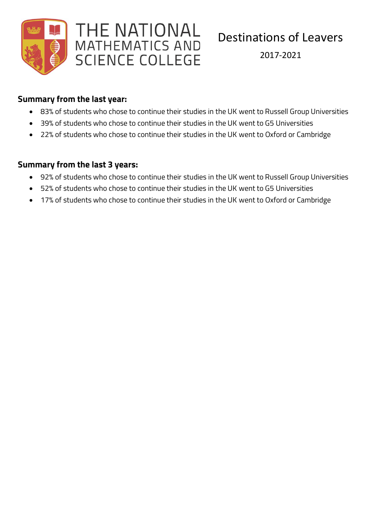



#### **Summary from the last year:**

- 83% of students who chose to continue their studies in the UK went to Russell Group Universities
- 39% of students who chose to continue their studies in the UK went to G5 Universities
- 22% of students who chose to continue their studies in the UK went to Oxford or Cambridge

#### **Summary from the last 3 years:**

- 92% of students who chose to continue their studies in the UK went to Russell Group Universities
- 52% of students who chose to continue their studies in the UK went to G5 Universities
- 17% of students who chose to continue their studies in the UK went to Oxford or Cambridge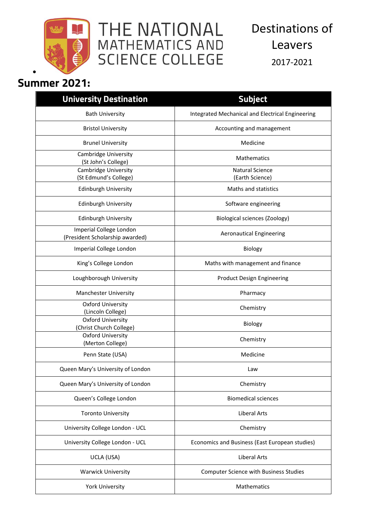



# Destinations of Leavers 2017-2021

### **Summer 2021:**

•

| <b>University Destination</b>                              | <b>Subject</b>                                   |
|------------------------------------------------------------|--------------------------------------------------|
| <b>Bath University</b>                                     | Integrated Mechanical and Electrical Engineering |
| <b>Bristol University</b>                                  | Accounting and management                        |
| <b>Brunel University</b>                                   | Medicine                                         |
| Cambridge University<br>(St John's College)                | <b>Mathematics</b>                               |
| <b>Cambridge University</b>                                | <b>Natural Science</b>                           |
| (St Edmund's College)                                      | (Earth Science)                                  |
| <b>Edinburgh University</b>                                | Maths and statistics                             |
| <b>Edinburgh University</b>                                | Software engineering                             |
| <b>Edinburgh University</b>                                | Biological sciences (Zoology)                    |
| Imperial College London<br>(President Scholarship awarded) | <b>Aeronautical Engineering</b>                  |
| Imperial College London                                    | Biology                                          |
| King's College London                                      | Maths with management and finance                |
| Loughborough University                                    | <b>Product Design Engineering</b>                |
| <b>Manchester University</b>                               | Pharmacy                                         |
| <b>Oxford University</b><br>(Lincoln College)              | Chemistry                                        |
| <b>Oxford University</b><br>(Christ Church College)        | Biology                                          |
| <b>Oxford University</b>                                   | Chemistry                                        |
| (Merton College)                                           |                                                  |
| Penn State (USA)                                           | Medicine                                         |
| Queen Mary's University of London                          | Law                                              |
| Queen Mary's University of London                          | Chemistry                                        |
| Queen's College London                                     | <b>Biomedical sciences</b>                       |
| <b>Toronto University</b>                                  | <b>Liberal Arts</b>                              |
| University College London - UCL                            | Chemistry                                        |
| University College London - UCL                            | Economics and Business (East European studies)   |
| UCLA (USA)                                                 | <b>Liberal Arts</b>                              |
| <b>Warwick University</b>                                  | <b>Computer Science with Business Studies</b>    |
| <b>York University</b>                                     | Mathematics                                      |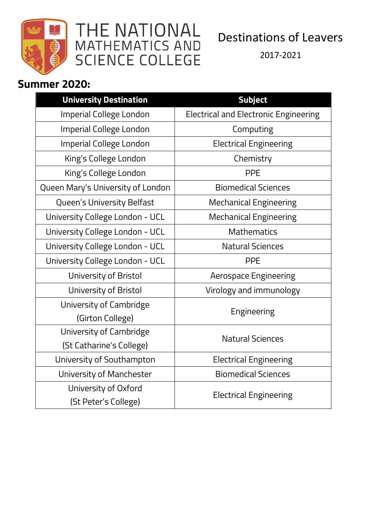



Destinations of Leavers

2017-2021

### **Summer 2020:**

| <b>University Destination</b>                | <b>Subject</b>                               |
|----------------------------------------------|----------------------------------------------|
| Imperial College London                      | <b>Electrical and Electronic Engineering</b> |
| Imperial College London                      | Computing                                    |
| Imperial College London                      | <b>Electrical Engineering</b>                |
| King's College London                        | Chemistry                                    |
| King's College London                        | <b>PPE</b>                                   |
| Queen Mary's University of London            | <b>Biomedical Sciences</b>                   |
| <b>Queen's University Belfast</b>            | <b>Mechanical Engineering</b>                |
| University College London - UCL              | <b>Mechanical Engineering</b>                |
| University College London - UCL              | <b>Mathematics</b>                           |
| University College London - UCL              | <b>Natural Sciences</b>                      |
| University College London - UCL              | <b>PPE</b>                                   |
| University of Bristol                        | <b>Aerospace Engineering</b>                 |
| University of Bristol                        | Virology and immunology                      |
| University of Cambridge<br>(Girton College)  | Engineering                                  |
| University of Cambridge                      | <b>Natural Sciences</b>                      |
| (St Catharine's College)                     |                                              |
| University of Southampton                    | <b>Electrical Engineering</b>                |
| University of Manchester                     | <b>Biomedical Sciences</b>                   |
| University of Oxford<br>(St Peter's College) | <b>Electrical Engineering</b>                |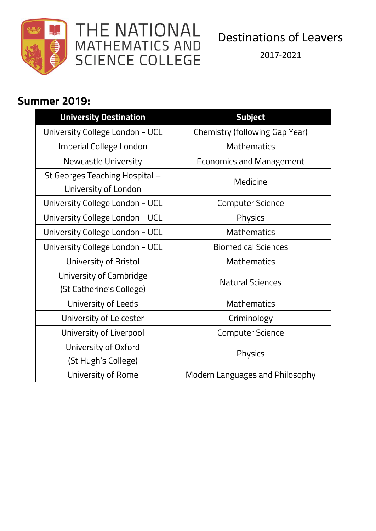

THE NATIONAL<br>
MATHEMATICS AND<br>
SCIENCE COLLEGE

2017-2021

## **Summer 2019:**

| <b>University Destination</b>                          | <b>Subject</b>                  |
|--------------------------------------------------------|---------------------------------|
| University College London - UCL                        | Chemistry (following Gap Year)  |
| Imperial College London                                | <b>Mathematics</b>              |
| <b>Newcastle University</b>                            | <b>Economics and Management</b> |
| St Georges Teaching Hospital -<br>University of London | Medicine                        |
| University College London - UCL                        | <b>Computer Science</b>         |
| University College London - UCL                        | Physics                         |
| University College London - UCL                        | <b>Mathematics</b>              |
| University College London - UCL                        | <b>Biomedical Sciences</b>      |
| University of Bristol                                  | <b>Mathematics</b>              |
| University of Cambridge<br>(St Catherine's College)    | <b>Natural Sciences</b>         |
| University of Leeds                                    | Mathematics                     |
| University of Leicester                                | Criminology                     |
| University of Liverpool                                | <b>Computer Science</b>         |
| University of Oxford                                   | Physics                         |
| (St Hugh's College)                                    |                                 |
| University of Rome                                     | Modern Languages and Philosophy |